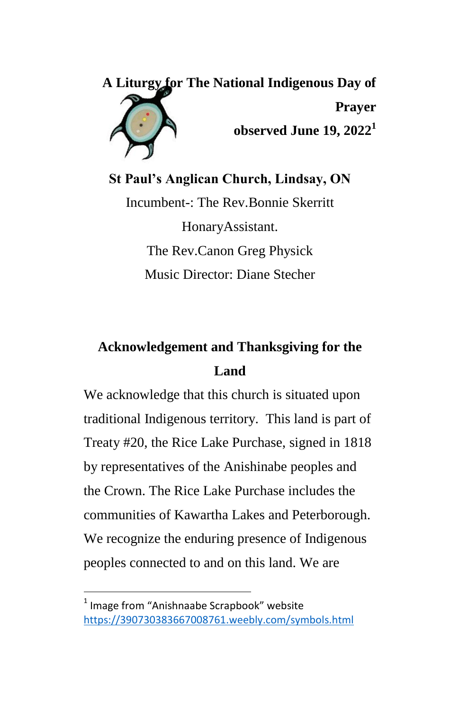

**St Paul's Anglican Church, Lindsay, ON** Incumbent-: The Rev.Bonnie Skerritt HonaryAssistant. The Rev.Canon Greg Physick Music Director: Diane Stecher

# **Acknowledgement and Thanksgiving for the Land**

We acknowledge that this church is situated upon traditional Indigenous territory. This land is part of Treaty #20, the Rice Lake Purchase, signed in 1818 by representatives of the Anishinabe peoples and the Crown. The Rice Lake Purchase includes the communities of Kawartha Lakes and Peterborough. We recognize the enduring presence of Indigenous peoples connected to and on this land. We are

l

 $<sup>1</sup>$  Image from "Anishnaabe Scrapbook" website</sup> <https://390730383667008761.weebly.com/symbols.html>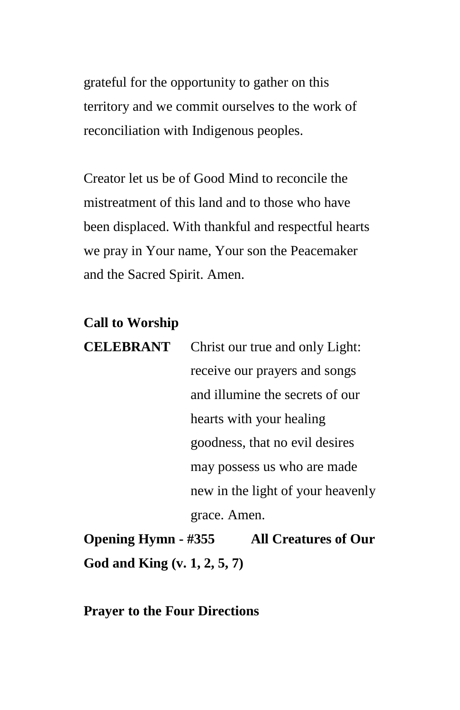grateful for the opportunity to gather on this territory and we commit ourselves to the work of reconciliation with Indigenous peoples.

Creator let us be of Good Mind to reconcile the mistreatment of this land and to those who have been displaced. With thankful and respectful hearts we pray in Your name, Your son the Peacemaker and the Sacred Spirit. Amen.

## **Call to Worship**

| <b>CELEBRANT</b> | Christ our true and only Light:   |
|------------------|-----------------------------------|
|                  | receive our prayers and songs     |
|                  | and illumine the secrets of our   |
|                  | hearts with your healing          |
|                  | goodness, that no evil desires    |
|                  | may possess us who are made       |
|                  | new in the light of your heavenly |
|                  | grace. Amen.                      |

**Opening Hymn - #355 All Creatures of Our God and King (v. 1, 2, 5, 7)**

**Prayer to the Four Directions**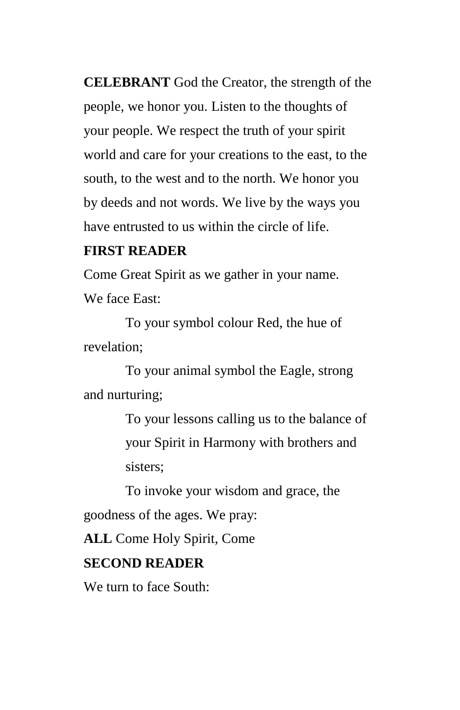**CELEBRANT** God the Creator, the strength of the people, we honor you. Listen to the thoughts of your people. We respect the truth of your spirit world and care for your creations to the east, to the south, to the west and to the north. We honor you by deeds and not words. We live by the ways you have entrusted to us within the circle of life.

## **FIRST READER**

Come Great Spirit as we gather in your name. We face East:

To your symbol colour Red, the hue of revelation;

To your animal symbol the Eagle, strong and nurturing;

> To your lessons calling us to the balance of your Spirit in Harmony with brothers and sisters;

To invoke your wisdom and grace, the goodness of the ages. We pray:

**ALL** Come Holy Spirit, Come

## **SECOND READER**

We turn to face South: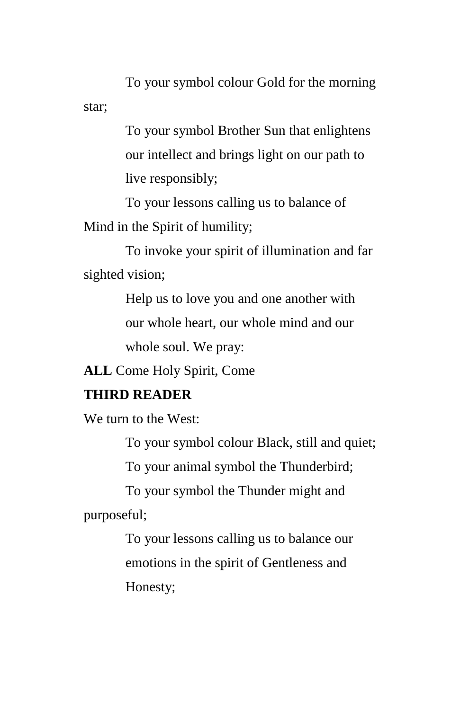To your symbol colour Gold for the morning star;

> To your symbol Brother Sun that enlightens our intellect and brings light on our path to live responsibly;

To your lessons calling us to balance of Mind in the Spirit of humility;

To invoke your spirit of illumination and far sighted vision;

> Help us to love you and one another with our whole heart, our whole mind and our whole soul. We pray:

**ALL** Come Holy Spirit, Come

## **THIRD READER**

We turn to the West:

To your symbol colour Black, still and quiet;

To your animal symbol the Thunderbird;

To your symbol the Thunder might and purposeful;

> To your lessons calling us to balance our emotions in the spirit of Gentleness and Honesty;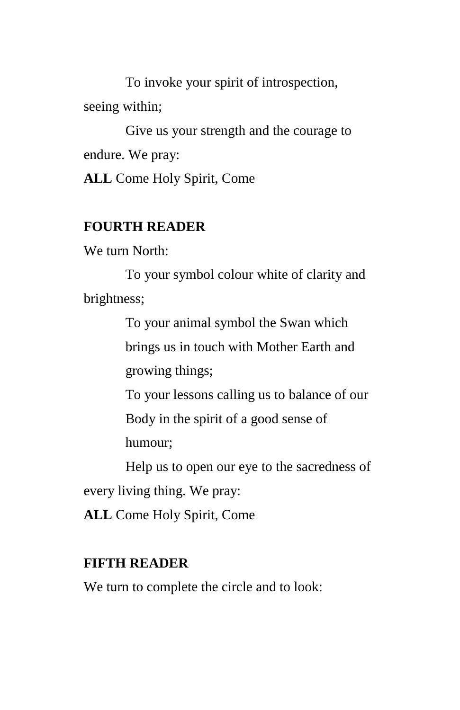To invoke your spirit of introspection, seeing within;

Give us your strength and the courage to endure. We pray:

**ALL** Come Holy Spirit, Come

## **FOURTH READER**

We turn North:

To your symbol colour white of clarity and brightness;

> To your animal symbol the Swan which brings us in touch with Mother Earth and growing things;

To your lessons calling us to balance of our Body in the spirit of a good sense of humour;

Help us to open our eye to the sacredness of every living thing. We pray:

**ALL** Come Holy Spirit, Come

## **FIFTH READER**

We turn to complete the circle and to look: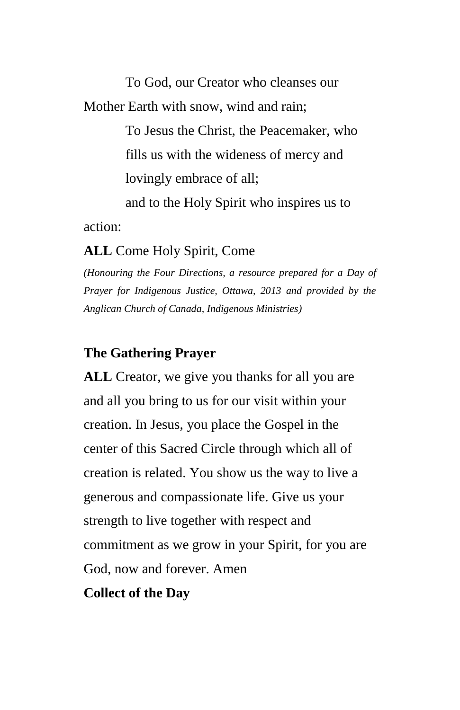To God, our Creator who cleanses our Mother Earth with snow, wind and rain;

> To Jesus the Christ, the Peacemaker, who fills us with the wideness of mercy and lovingly embrace of all;

and to the Holy Spirit who inspires us to action:

**ALL** Come Holy Spirit, Come

*(Honouring the Four Directions, a resource prepared for a Day of Prayer for Indigenous Justice, Ottawa, 2013 and provided by the Anglican Church of Canada, Indigenous Ministries)*

## **The Gathering Prayer**

ALL Creator, we give you thanks for all you are and all you bring to us for our visit within your creation. In Jesus, you place the Gospel in the center of this Sacred Circle through which all of creation is related. You show us the way to live a generous and compassionate life. Give us your strength to live together with respect and commitment as we grow in your Spirit, for you are God, now and forever. Amen **Collect of the Day**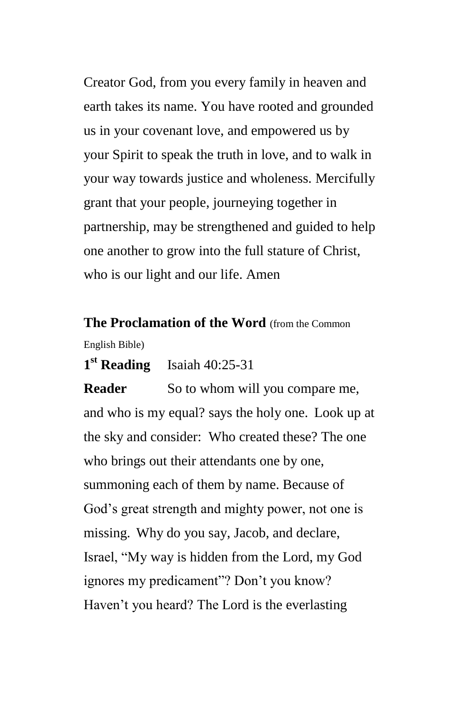Creator God, from you every family in heaven and earth takes its name. You have rooted and grounded us in your covenant love, and empowered us by your Spirit to speak the truth in love, and to walk in your way towards justice and wholeness. Mercifully grant that your people, journeying together in partnership, may be strengthened and guided to help one another to grow into the full stature of Christ, who is our light and our life. Amen

**The Proclamation of the Word** (from the Common English Bible)

**1 st Reading** Isaiah 40:25-31

**Reader** So to whom will you compare me, and who is my equal? says the holy one. Look up at the sky and consider: Who created these? The one who brings out their attendants one by one, summoning each of them by name. Because of God's great strength and mighty power, not one is missing. Why do you say, Jacob, and declare, Israel, "My way is hidden from the Lord, my God ignores my predicament"? Don't you know? Haven't you heard? The Lord is the everlasting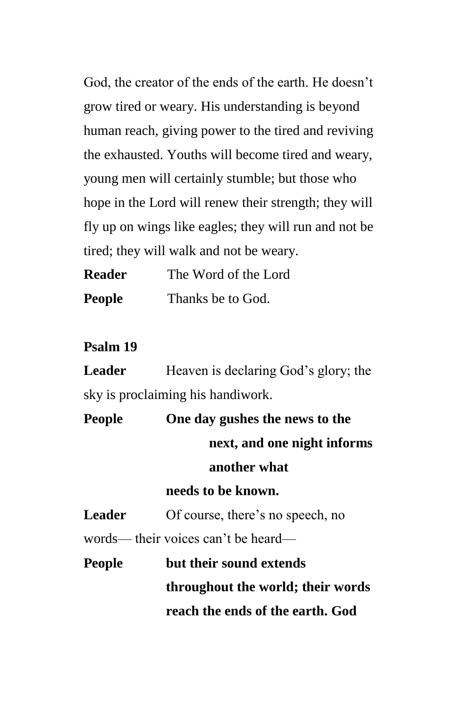God, the creator of the ends of the earth. He doesn't grow tired or weary. His understanding is beyond human reach, giving power to the tired and reviving the exhausted. Youths will become tired and weary, young men will certainly stumble; but those who hope in the Lord will renew their strength; they will fly up on wings like eagles; they will run and not be tired; they will walk and not be weary.

| <b>Reader</b> | The Word of the Lord |
|---------------|----------------------|
| <b>People</b> | Thanks be to God.    |

### **Psalm 19**

| <b>Leader</b> | Heaven is declaring God's glory; the |
|---------------|--------------------------------------|
|               | sky is proclaiming his handiwork.    |

**People One day gushes the news to the next, and one night informs another what needs to be known.** Leader Of course, there's no speech, no words— their voices can't be heard— **People but their sound extends** 

> **throughout the world; their words reach the ends of the earth. God**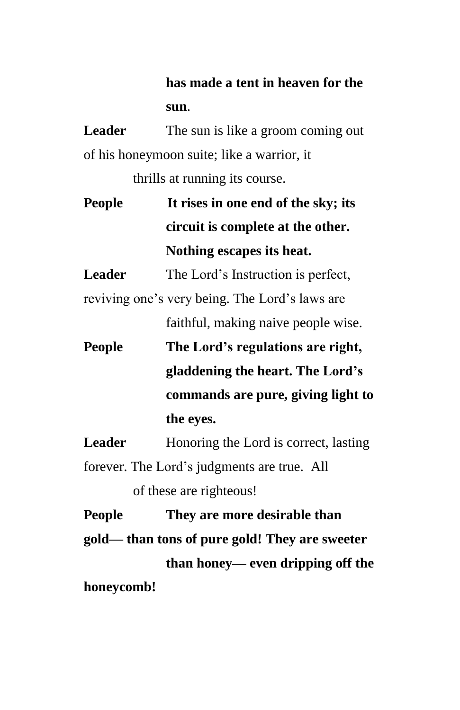# **has made a tent in heaven for the sun**.

**Leader** The sun is like a groom coming out of his honeymoon suite; like a warrior, it thrills at running its course.

**People It rises in one end of the sky; its circuit is complete at the other. Nothing escapes its heat.**

Leader The Lord's Instruction is perfect,

reviving one's very being. The Lord's laws are faithful, making naive people wise.

**People The Lord's regulations are right, gladdening the heart. The Lord's commands are pure, giving light to the eyes.**

**Leader** Honoring the Lord is correct, lasting forever. The Lord's judgments are true. All

of these are righteous!

**People They are more desirable than gold— than tons of pure gold! They are sweeter than honey— even dripping off the honeycomb!**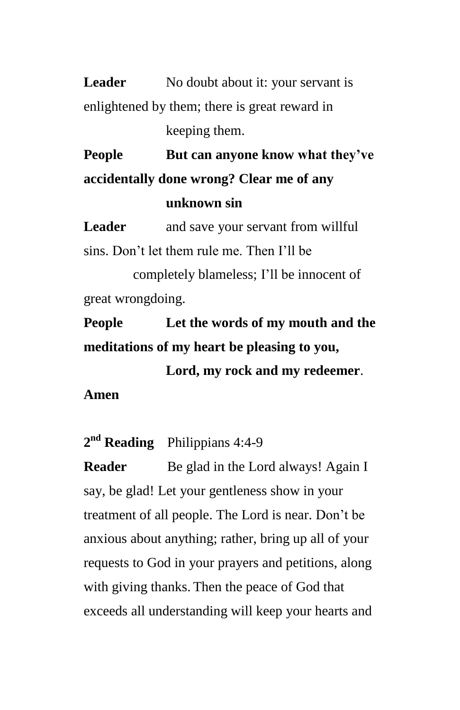Leader No doubt about it: your servant is enlightened by them; there is great reward in keeping them.

**People But can anyone know what they've accidentally done wrong? Clear me of any unknown sin**

**Leader** and save your servant from willful sins. Don't let them rule me. Then I'll be

completely blameless; I'll be innocent of great wrongdoing.

**People Let the words of my mouth and the meditations of my heart be pleasing to you,**

 **Lord, my rock and my redeemer**.

**Amen**

**2 nd Reading** Philippians 4:4-9

**Reader** Be glad in the Lord always! Again I say, be glad! Let your gentleness show in your treatment of all people. The Lord is near. Don't be anxious about anything; rather, bring up all of your requests to God in your prayers and petitions, along with giving thanks. Then the peace of God that exceeds all understanding will keep your hearts and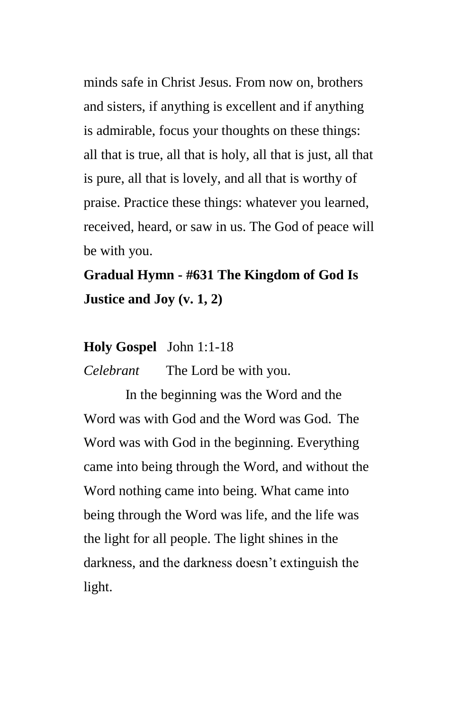minds safe in Christ Jesus. From now on, brothers and sisters, if anything is excellent and if anything is admirable, focus your thoughts on these things: all that is true, all that is holy, all that is just, all that is pure, all that is lovely, and all that is worthy of praise. Practice these things: whatever you learned, received, heard, or saw in us. The God of peace will be with you.

# **Gradual Hymn - #631 The Kingdom of God Is Justice and Joy (v. 1, 2)**

#### **Holy Gospel** John 1:1-18

*Celebrant* The Lord be with you.

In the beginning was the Word and the Word was with God and the Word was God. The Word was with God in the beginning. Everything came into being through the Word, and without the Word nothing came into being. What came into being through the Word was life, and the life was the light for all people. The light shines in the darkness, and the darkness doesn't extinguish the light.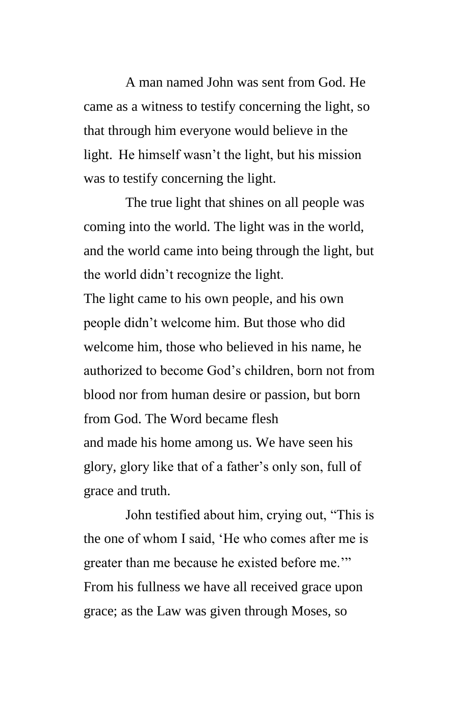A man named John was sent from God. He came as a witness to testify concerning the light, so that through him everyone would believe in the light. He himself wasn't the light, but his mission was to testify concerning the light.

The true light that shines on all people was coming into the world. The light was in the world, and the world came into being through the light, but the world didn't recognize the light.

The light came to his own people, and his own people didn't welcome him. But those who did welcome him, those who believed in his name, he authorized to become God's children, born not from blood nor from human desire or passion, but born from God. The Word became flesh and made his home among us. We have seen his glory, glory like that of a father's only son, full of grace and truth.

John testified about him, crying out, "This is the one of whom I said, 'He who comes after me is greater than me because he existed before me.'" From his fullness we have all received grace upon grace; as the Law was given through Moses, so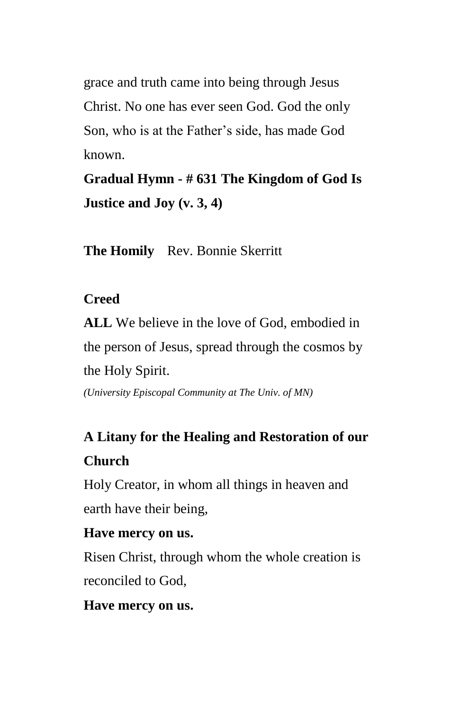grace and truth came into being through Jesus Christ. No one has ever seen God. God the only Son, who is at the Father's side, has made God known.

**Gradual Hymn - # 631 The Kingdom of God Is Justice and Joy (v. 3, 4)**

**The Homily** Rev. Bonnie Skerritt

## **Creed**

**ALL** We believe in the love of God, embodied in the person of Jesus, spread through the cosmos by the Holy Spirit.

*(University Episcopal Community at The Univ. of MN)*

# **A Litany for the Healing and Restoration of our Church**

Holy Creator, in whom all things in heaven and earth have their being,

## **Have mercy on us.**

Risen Christ, through whom the whole creation is reconciled to God,

## **Have mercy on us.**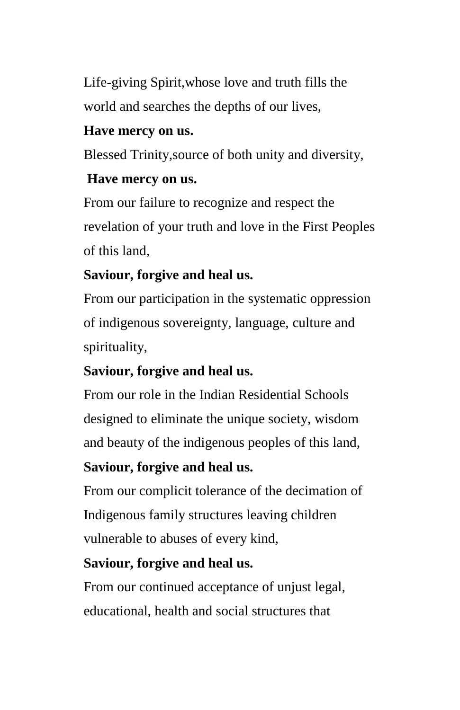Life-giving Spirit,whose love and truth fills the world and searches the depths of our lives,

## **Have mercy on us.**

Blessed Trinity,source of both unity and diversity,

## **Have mercy on us.**

From our failure to recognize and respect the revelation of your truth and love in the First Peoples of this land,

# **Saviour, forgive and heal us.**

From our participation in the systematic oppression of indigenous sovereignty, language, culture and spirituality,

# **Saviour, forgive and heal us.**

From our role in the Indian Residential Schools designed to eliminate the unique society, wisdom and beauty of the indigenous peoples of this land,

# **Saviour, forgive and heal us.**

From our complicit tolerance of the decimation of Indigenous family structures leaving children vulnerable to abuses of every kind,

# **Saviour, forgive and heal us.**

From our continued acceptance of unjust legal, educational, health and social structures that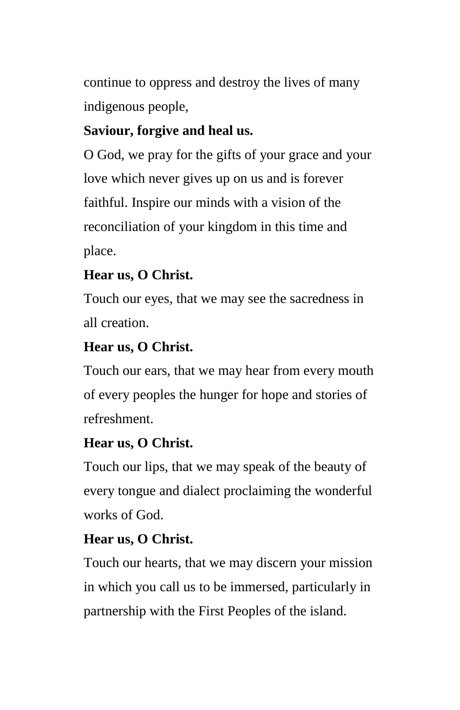continue to oppress and destroy the lives of many indigenous people,

# **Saviour, forgive and heal us.**

O God, we pray for the gifts of your grace and your love which never gives up on us and is forever faithful. Inspire our minds with a vision of the reconciliation of your kingdom in this time and place.

# **Hear us, O Christ.**

Touch our eyes, that we may see the sacredness in all creation.

# **Hear us, O Christ.**

Touch our ears, that we may hear from every mouth of every peoples the hunger for hope and stories of refreshment.

# **Hear us, O Christ.**

Touch our lips, that we may speak of the beauty of every tongue and dialect proclaiming the wonderful works of God.

# **Hear us, O Christ.**

Touch our hearts, that we may discern your mission in which you call us to be immersed, particularly in partnership with the First Peoples of the island.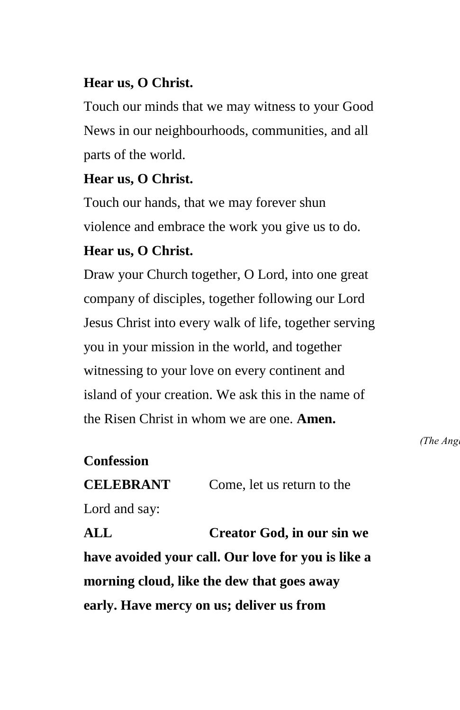## **Hear us, O Christ.**

Touch our minds that we may witness to your Good News in our neighbourhoods, communities, and all parts of the world.

## **Hear us, O Christ.**

Touch our hands, that we may forever shun violence and embrace the work you give us to do.

## **Hear us, O Christ.**

Draw your Church together, O Lord, into one great company of disciples, together following our Lord Jesus Christ into every walk of life, together serving you in your mission in the world, and together witnessing to your love on every continent and island of your creation. We ask this in the name of the Risen Christ in whom we are one. **Amen.**

*(The Anglican*)

# **Confession CELEBRANT** Come, let us return to the Lord and say: **ALL Creator God, in our sin we have avoided your call. Our love for you is like a morning cloud, like the dew that goes away**

**early. Have mercy on us; deliver us from**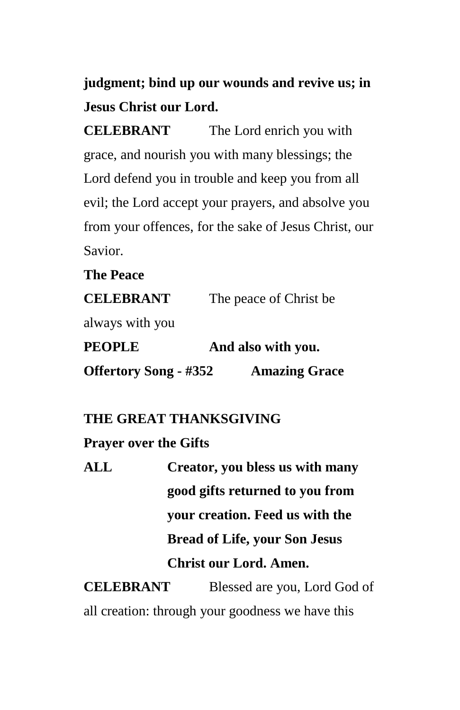**judgment; bind up our wounds and revive us; in Jesus Christ our Lord.**

**CELEBRANT** The Lord enrich you with grace, and nourish you with many blessings; the Lord defend you in trouble and keep you from all evil; the Lord accept your prayers, and absolve you from your offences, for the sake of Jesus Christ, our Savior.

### **The Peace**

| <b>CELEBRANT</b> | The peace of Christ be. |
|------------------|-------------------------|
| always with you  |                         |
| <b>PEOPLE</b>    | And also with you.      |

**Offertory Song - #352 Amazing Grace**

### **THE GREAT THANKSGIVING**

## **Prayer over the Gifts**

**ALL Creator, you bless us with many good gifts returned to you from your creation. Feed us with the Bread of Life, your Son Jesus Christ our Lord. Amen.**

**CELEBRANT** Blessed are you, Lord God of all creation: through your goodness we have this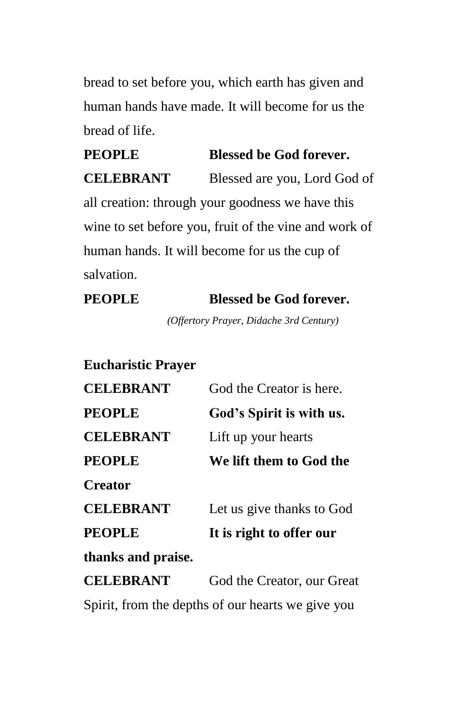bread to set before you, which earth has given and human hands have made. It will become for us the bread of life.

**PEOPLE Blessed be God forever. CELEBRANT** Blessed are you, Lord God of all creation: through your goodness we have this wine to set before you, fruit of the vine and work of human hands. It will become for us the cup of salvation.

#### **PEOPLE Blessed be God forever.**

*(Offertory Prayer, Didache 3rd Century)*

## **Eucharistic Prayer**

| <b>CELEBRANT</b>                                  | God the Creator is here.   |  |  |  |
|---------------------------------------------------|----------------------------|--|--|--|
| <b>PEOPLE</b>                                     | God's Spirit is with us.   |  |  |  |
| <b>CELEBRANT</b>                                  | Lift up your hearts        |  |  |  |
| <b>PEOPLE</b>                                     | We lift them to God the    |  |  |  |
| <b>Creator</b>                                    |                            |  |  |  |
| <b>CELEBRANT</b>                                  | Let us give thanks to God  |  |  |  |
| <b>PEOPLE</b>                                     | It is right to offer our   |  |  |  |
| thanks and praise.                                |                            |  |  |  |
| <b>CELEBRANT</b>                                  | God the Creator, our Great |  |  |  |
| Spirit, from the depths of our hearts we give you |                            |  |  |  |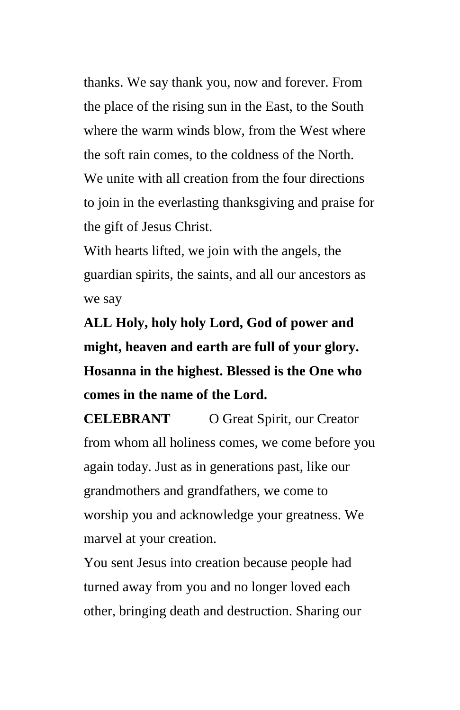thanks. We say thank you, now and forever. From the place of the rising sun in the East, to the South where the warm winds blow, from the West where the soft rain comes, to the coldness of the North. We unite with all creation from the four directions to join in the everlasting thanksgiving and praise for the gift of Jesus Christ.

With hearts lifted, we join with the angels, the guardian spirits, the saints, and all our ancestors as we say

**ALL Holy, holy holy Lord, God of power and might, heaven and earth are full of your glory. Hosanna in the highest. Blessed is the One who comes in the name of the Lord.**

**CELEBRANT** O Great Spirit, our Creator from whom all holiness comes, we come before you again today. Just as in generations past, like our grandmothers and grandfathers, we come to worship you and acknowledge your greatness. We marvel at your creation.

You sent Jesus into creation because people had turned away from you and no longer loved each other, bringing death and destruction. Sharing our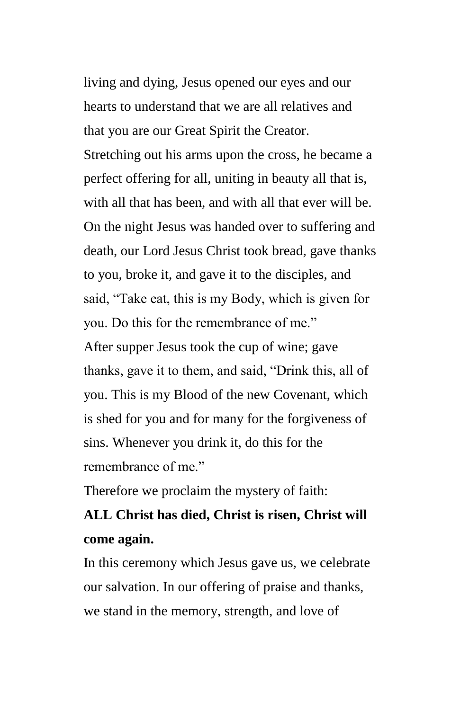living and dying, Jesus opened our eyes and our hearts to understand that we are all relatives and that you are our Great Spirit the Creator.

Stretching out his arms upon the cross, he became a perfect offering for all, uniting in beauty all that is, with all that has been, and with all that ever will be. On the night Jesus was handed over to suffering and death, our Lord Jesus Christ took bread, gave thanks to you, broke it, and gave it to the disciples, and said, "Take eat, this is my Body, which is given for you. Do this for the remembrance of me."

After supper Jesus took the cup of wine; gave thanks, gave it to them, and said, "Drink this, all of you. This is my Blood of the new Covenant, which is shed for you and for many for the forgiveness of sins. Whenever you drink it, do this for the remembrance of me."

Therefore we proclaim the mystery of faith:

# **ALL Christ has died, Christ is risen, Christ will come again.**

In this ceremony which Jesus gave us, we celebrate our salvation. In our offering of praise and thanks, we stand in the memory, strength, and love of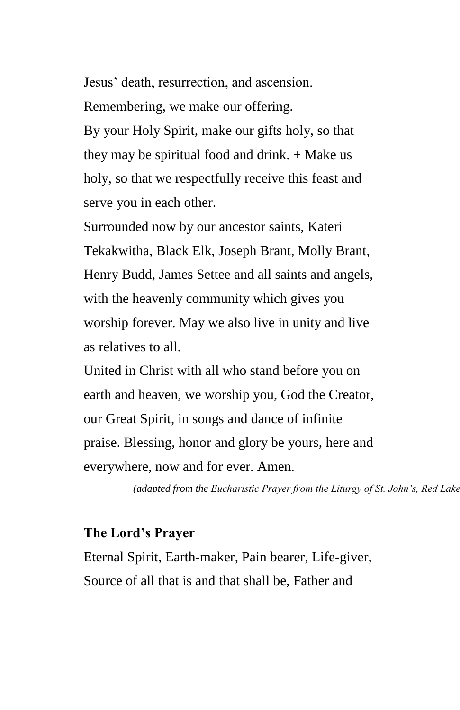Jesus' death, resurrection, and ascension. Remembering, we make our offering. By your Holy Spirit, make our gifts holy, so that they may be spiritual food and drink. + Make us holy, so that we respectfully receive this feast and serve you in each other.

Surrounded now by our ancestor saints, Kateri Tekakwitha, Black Elk, Joseph Brant, Molly Brant, Henry Budd, James Settee and all saints and angels, with the heavenly community which gives you worship forever. May we also live in unity and live as relatives to all.

United in Christ with all who stand before you on earth and heaven, we worship you, God the Creator, our Great Spirit, in songs and dance of infinite praise. Blessing, honor and glory be yours, here and everywhere, now and for ever. Amen.

*(adapted from the Eucharistic Prayer from the Liturgy of St. John's, Red Lake* 

## **The Lord's Prayer**

Eternal Spirit, Earth-maker, Pain bearer, Life-giver, Source of all that is and that shall be, Father and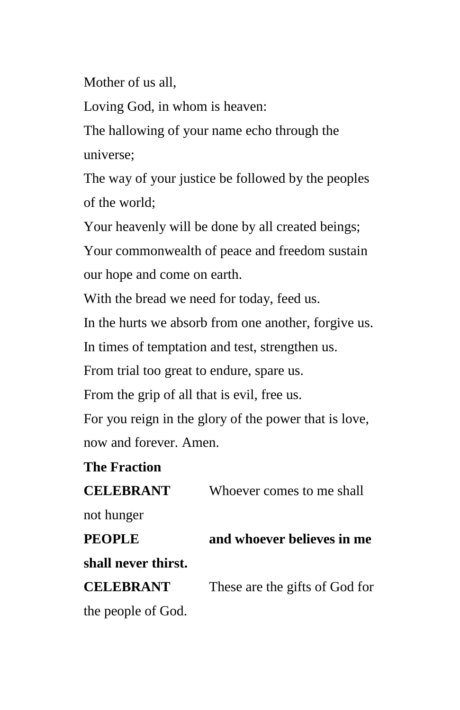Mother of us all,

Loving God, in whom is heaven:

The hallowing of your name echo through the universe;

The way of your justice be followed by the peoples of the world;

Your heavenly will be done by all created beings;

Your commonwealth of peace and freedom sustain our hope and come on earth.

With the bread we need for today, feed us.

In the hurts we absorb from one another, forgive us.

In times of temptation and test, strengthen us.

From trial too great to endure, spare us.

From the grip of all that is evil, free us.

For you reign in the glory of the power that is love, now and forever. Amen.

| <b>The Fraction</b> |                                |
|---------------------|--------------------------------|
| <b>CELEBRANT</b>    | Whoever comes to me shall      |
| not hunger          |                                |
| <b>PEOPLE</b>       | and whoever believes in me     |
| shall never thirst. |                                |
| <b>CELEBRANT</b>    | These are the gifts of God for |
| the people of God.  |                                |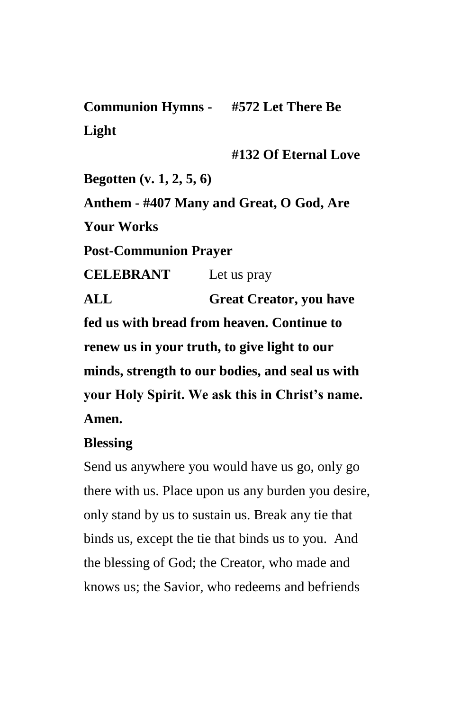**Communion Hymns - #572 Let There Be Light**

### **#132 Of Eternal Love**

**Begotten (v. 1, 2, 5, 6) Anthem - #407 Many and Great, O God, Are Your Works Post-Communion Prayer CELEBRANT** Let us pray **ALL Great Creator, you have fed us with bread from heaven. Continue to renew us in your truth, to give light to our minds, strength to our bodies, and seal us with your Holy Spirit. We ask this in Christ's name. Amen.**

## **Blessing**

Send us anywhere you would have us go, only go there with us. Place upon us any burden you desire, only stand by us to sustain us. Break any tie that binds us, except the tie that binds us to you. And the blessing of God; the Creator, who made and knows us; the Savior, who redeems and befriends